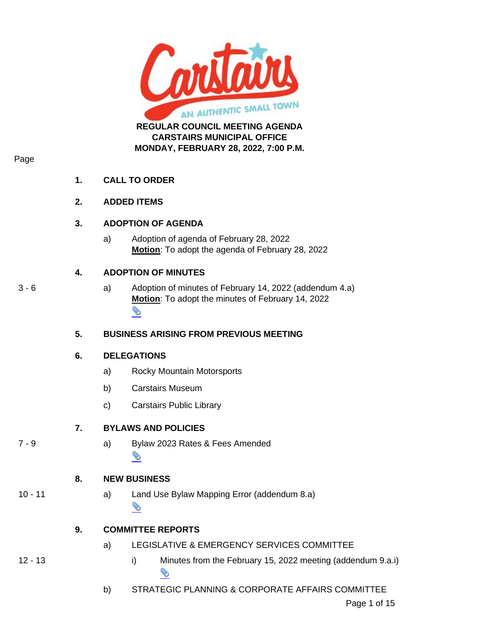

**CARSTAIRS MUNICIPAL OFFICE MONDAY, FEBRUARY 28, 2022, 7:00 P.M.**

#### Page

## **1. CALL TO ORDER**

### **2. ADDED ITEMS**

### **3. ADOPTION OF AGENDA**

a) Adoption of agenda of February 28, 2022 **Motion**: To adopt the agenda of February 28, 2022

## **4. ADOPTION OF MINUTES**

- 
- 3 6 a) Adoption of minutes of February 14, 2022 (addendum 4.a) **Motion**: To adopt the minutes of February 14, 2022 д

## **5. BUSINESS ARISING FROM PREVIOUS MEETING**

## **6. DELEGATIONS**

- a) Rocky Mountain Motorsports
- b) Carstairs Museum
- c) Carstairs Public Library

## **7. BYLAWS AND POLICIES**

7 - 9 a) Bylaw 2023 Rates & Fees Amended ⇘

## **8. NEW BUSINESS**

## 10 - 11 a) Land Use Bylaw Mapping Error (addendum 8.a) д

## **9. COMMITTEE REPORTS**

- a) LEGISLATIVE & EMERGENCY SERVICES COMMITTEE
- 12 13 i) Minutes from the February 15, 2022 meeting (addendum 9.a.i) Ó
	- b) STRATEGIC PLANNING & CORPORATE AFFAIRS COMMITTEE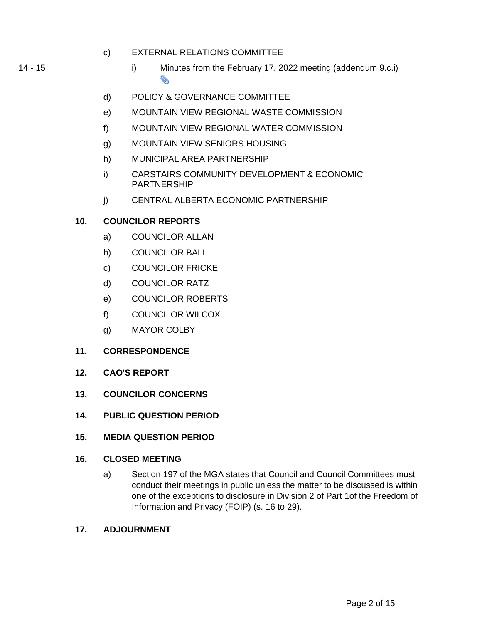- c) EXTERNAL RELATIONS COMMITTEE
- 14 15 i) Minutes from the February 17, 2022 meeting (addendum 9.c.i) S
	- d) POLICY & GOVERNANCE COMMITTEE
	- e) MOUNTAIN VIEW REGIONAL WASTE COMMISSION
	- f) MOUNTAIN VIEW REGIONAL WATER COMMISSION
	- g) MOUNTAIN VIEW SENIORS HOUSING
	- h) MUNICIPAL AREA PARTNERSHIP
	- i) CARSTAIRS COMMUNITY DEVELOPMENT & ECONOMIC PARTNERSHIP
	- j) CENTRAL ALBERTA ECONOMIC PARTNERSHIP

## **10. COUNCILOR REPORTS**

- a) COUNCILOR ALLAN
- b) COUNCILOR BALL
- c) COUNCILOR FRICKE
- d) COUNCILOR RATZ
- e) COUNCILOR ROBERTS
- f) COUNCILOR WILCOX
- g) MAYOR COLBY

## **11. CORRESPONDENCE**

- **12. CAO'S REPORT**
- **13. COUNCILOR CONCERNS**
- **14. PUBLIC QUESTION PERIOD**
- **15. MEDIA QUESTION PERIOD**

## **16. CLOSED MEETING**

a) Section 197 of the MGA states that Council and Council Committees must conduct their meetings in public unless the matter to be discussed is within one of the exceptions to disclosure in Division 2 of Part 1of the Freedom of Information and Privacy (FOIP) (s. 16 to 29).

## **17. ADJOURNMENT**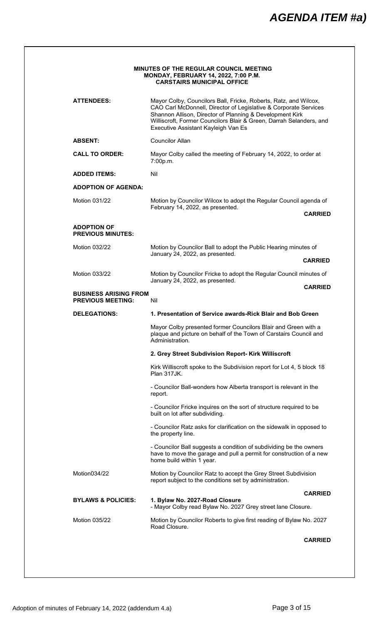| <b>ATTENDEES:</b>                                        | Mayor Colby, Councilors Ball, Fricke, Roberts, Ratz, and Wilcox,<br>CAO Carl McDonnell, Director of Legislative & Corporate Services<br>Shannon Allison, Director of Planning & Development Kirk<br>Williscroft, Former Councilors Blair & Green, Darrah Selanders, and<br>Executive Assistant Kayleigh Van Es |
|----------------------------------------------------------|----------------------------------------------------------------------------------------------------------------------------------------------------------------------------------------------------------------------------------------------------------------------------------------------------------------|
| <b>ABSENT:</b>                                           | <b>Councilor Allan</b>                                                                                                                                                                                                                                                                                         |
| <b>CALL TO ORDER:</b>                                    | Mayor Colby called the meeting of February 14, 2022, to order at<br>7:00p.m.                                                                                                                                                                                                                                   |
| <b>ADDED ITEMS:</b>                                      | Nil                                                                                                                                                                                                                                                                                                            |
| <b>ADOPTION OF AGENDA:</b>                               |                                                                                                                                                                                                                                                                                                                |
| Motion 031/22                                            | Motion by Councilor Wilcox to adopt the Regular Council agenda of<br>February 14, 2022, as presented.<br><b>CARRIED</b>                                                                                                                                                                                        |
| <b>ADOPTION OF</b>                                       |                                                                                                                                                                                                                                                                                                                |
| <b>PREVIOUS MINUTES:</b>                                 |                                                                                                                                                                                                                                                                                                                |
| <b>Motion 032/22</b>                                     | Motion by Councilor Ball to adopt the Public Hearing minutes of<br>January 24, 2022, as presented.                                                                                                                                                                                                             |
|                                                          | <b>CARRIED</b>                                                                                                                                                                                                                                                                                                 |
| Motion 033/22                                            | Motion by Councilor Fricke to adopt the Regular Council minutes of<br>January 24, 2022, as presented.                                                                                                                                                                                                          |
| <b>BUSINESS ARISING FROM</b><br><b>PREVIOUS MEETING:</b> | <b>CARRIED</b><br>Nil                                                                                                                                                                                                                                                                                          |
| <b>DELEGATIONS:</b>                                      | 1. Presentation of Service awards-Rick Blair and Bob Green                                                                                                                                                                                                                                                     |
|                                                          | Mayor Colby presented former Councilors Blair and Green with a<br>plaque and picture on behalf of the Town of Carstairs Council and<br>Administration.                                                                                                                                                         |
|                                                          | 2. Grey Street Subdivision Report- Kirk Williscroft                                                                                                                                                                                                                                                            |
|                                                          | Kirk Williscroft spoke to the Subdivision report for Lot 4, 5 block 18<br><b>Plan 317JK.</b>                                                                                                                                                                                                                   |
|                                                          | - Councilor Ball-wonders how Alberta transport is relevant in the<br>report.                                                                                                                                                                                                                                   |
|                                                          | - Councilor Fricke inquires on the sort of structure required to be<br>built on lot after subdividing.                                                                                                                                                                                                         |
|                                                          | - Councilor Ratz asks for clarification on the sidewalk in opposed to<br>the property line.                                                                                                                                                                                                                    |
|                                                          | - Councilor Ball suggests a condition of subdividing be the owners<br>have to move the garage and pull a permit for construction of a new<br>home build within 1 year.                                                                                                                                         |
| Motion034/22                                             | Motion by Councilor Ratz to accept the Grey Street Subdivision<br>report subject to the conditions set by administration.                                                                                                                                                                                      |
| <b>BYLAWS &amp; POLICIES:</b>                            | <b>CARRIED</b><br>1. Bylaw No. 2027-Road Closure                                                                                                                                                                                                                                                               |
|                                                          | - Mayor Colby read Bylaw No. 2027 Grey street lane Closure.                                                                                                                                                                                                                                                    |
| Motion 035/22                                            | Motion by Councilor Roberts to give first reading of Bylaw No. 2027<br>Road Closure.                                                                                                                                                                                                                           |
|                                                          |                                                                                                                                                                                                                                                                                                                |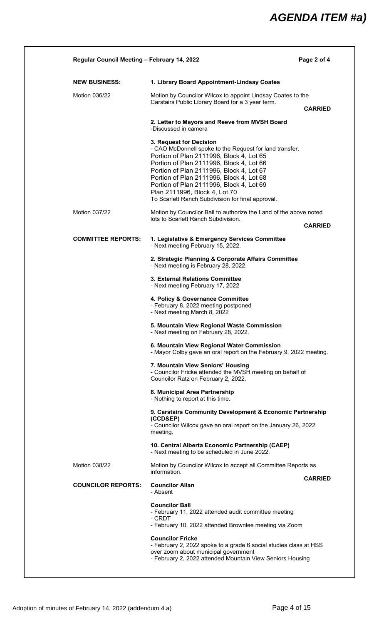# *AGENDA ITEM #a)*

| <b>NEW BUSINESS:</b>      | 1. Library Board Appointment-Lindsay Coates                                                                                                                                                                                                                                                                                                                                                          |                |
|---------------------------|------------------------------------------------------------------------------------------------------------------------------------------------------------------------------------------------------------------------------------------------------------------------------------------------------------------------------------------------------------------------------------------------------|----------------|
| Motion 036/22             | Motion by Councilor Wilcox to appoint Lindsay Coates to the<br>Carstairs Public Library Board for a 3 year term.                                                                                                                                                                                                                                                                                     | <b>CARRIED</b> |
|                           | 2. Letter to Mayors and Reeve from MVSH Board<br>-Discussed in camera                                                                                                                                                                                                                                                                                                                                |                |
|                           | 3. Request for Decision<br>- CAO McDonnell spoke to the Request for land transfer.<br>Portion of Plan 2111996, Block 4, Lot 65<br>Portion of Plan 2111996, Block 4, Lot 66<br>Portion of Plan 2111996, Block 4, Lot 67<br>Portion of Plan 2111996, Block 4, Lot 68<br>Portion of Plan 2111996, Block 4, Lot 69<br>Plan 2111996, Block 4, Lot 70<br>To Scarlett Ranch Subdivision for final approval. |                |
| <b>Motion 037/22</b>      | Motion by Councilor Ball to authorize the Land of the above noted<br>lots to Scarlett Ranch Subdivision.                                                                                                                                                                                                                                                                                             | <b>CARRIED</b> |
| <b>COMMITTEE REPORTS:</b> | 1. Legislative & Emergency Services Committee<br>- Next meeting February 15, 2022.                                                                                                                                                                                                                                                                                                                   |                |
|                           | 2. Strategic Planning & Corporate Affairs Committee<br>- Next meeting is February 28, 2022.                                                                                                                                                                                                                                                                                                          |                |
|                           | 3. External Relations Committee<br>- Next meeting February 17, 2022                                                                                                                                                                                                                                                                                                                                  |                |
|                           | 4. Policy & Governance Committee<br>- February 8, 2022 meeting postponed<br>- Next meeting March 8, 2022                                                                                                                                                                                                                                                                                             |                |
|                           | 5. Mountain View Regional Waste Commission<br>- Next meeting on February 28, 2022.                                                                                                                                                                                                                                                                                                                   |                |
|                           | 6. Mountain View Regional Water Commission<br>- Mayor Colby gave an oral report on the February 9, 2022 meeting.                                                                                                                                                                                                                                                                                     |                |
|                           | 7. Mountain View Seniors' Housing<br>- Councilor Fricke attended the MVSH meeting on behalf of<br>Councilor Ratz on February 2, 2022.                                                                                                                                                                                                                                                                |                |
|                           | 8. Municipal Area Partnership<br>- Nothing to report at this time.                                                                                                                                                                                                                                                                                                                                   |                |
|                           | 9. Carstairs Community Development & Economic Partnership<br>$(CCD\&E P)$<br>- Councilor Wilcox gave an oral report on the January 26, 2022<br>meeting.                                                                                                                                                                                                                                              |                |
|                           | 10. Central Alberta Economic Partnership (CAEP)<br>- Next meeting to be scheduled in June 2022.                                                                                                                                                                                                                                                                                                      |                |
| <b>Motion 038/22</b>      | Motion by Councilor Wilcox to accept all Committee Reports as<br>information.                                                                                                                                                                                                                                                                                                                        | <b>CARRIED</b> |
| <b>COUNCILOR REPORTS:</b> | <b>Councilor Allan</b><br>- Absent                                                                                                                                                                                                                                                                                                                                                                   |                |
|                           | <b>Councilor Ball</b><br>- February 11, 2022 attended audit committee meeting<br>- CRDT<br>- February 10, 2022 attended Brownlee meeting via Zoom                                                                                                                                                                                                                                                    |                |
|                           | <b>Councilor Fricke</b><br>- February 2, 2022 spoke to a grade 6 social studies class at HSS<br>over zoom about municipal government<br>- February 2, 2022 attended Mountain View Seniors Housing                                                                                                                                                                                                    |                |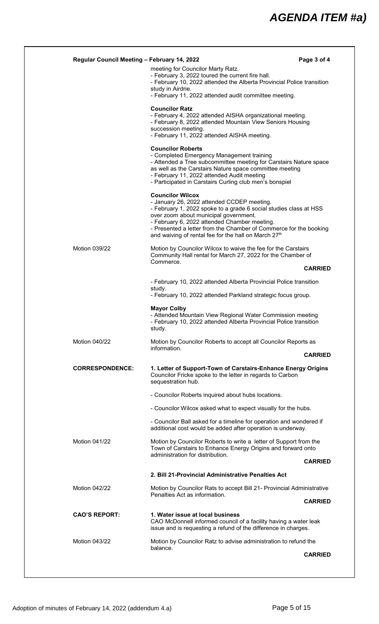| Regular Council Meeting - February 14, 2022 |                                                                                                                                                                                                                                                                                                                                                                              | Page 3 of 4    |
|---------------------------------------------|------------------------------------------------------------------------------------------------------------------------------------------------------------------------------------------------------------------------------------------------------------------------------------------------------------------------------------------------------------------------------|----------------|
|                                             | meeting for Councilor Marty Ratz.<br>- February 3, 2022 toured the current fire hall.<br>- February 10, 2022 attended the Alberta Provincial Police transition<br>study in Airdrie.<br>- February 11, 2022 attended audit committee meeting.                                                                                                                                 |                |
|                                             | <b>Councilor Ratz</b><br>- February 4, 2022 attended AISHA organizational meeting.<br>- February 8, 2022 attended Mountain View Seniors Housing<br>succession meeting.<br>- February 11, 2022 attended AISHA meeting.                                                                                                                                                        |                |
|                                             | <b>Councilor Roberts</b><br>- Completed Emergency Management training<br>- Attended a Tree subcommittee meeting for Carstairs Nature space<br>as well as the Carstairs Nature space committee meeting<br>- February 11, 2022 attended Audit meeting<br>- Participated in Carstairs Curling club men's bonspiel                                                               |                |
|                                             | <b>Councilor Wilcox</b><br>- January 26, 2022 attended CCDEP meeting.<br>- February 1, 2022 spoke to a grade 6 social studies class at HSS<br>over zoom about municipal government.<br>- February 6, 2022 attended Chamber meeting.<br>- Presented a letter from the Chamber of Commerce for the booking<br>and waiving of rental fee for the hall on March 27 <sup>th</sup> |                |
| Motion 039/22                               | Motion by Councilor Wilcox to waive the fee for the Carstairs<br>Community Hall rental for March 27, 2022 for the Chamber of<br>Commerce.                                                                                                                                                                                                                                    | <b>CARRIED</b> |
|                                             |                                                                                                                                                                                                                                                                                                                                                                              |                |
|                                             | - February 10, 2022 attended Alberta Provincial Police transition<br>study.<br>- February 10, 2022 attended Parkland strategic focus group.                                                                                                                                                                                                                                  |                |
|                                             | <b>Mayor Colby</b><br>- Attended Mountain View Regional Water Commission meeting<br>- February 10, 2022 attended Alberta Provincial Police transition<br>study.                                                                                                                                                                                                              |                |
| Motion 040/22                               | Motion by Councilor Roberts to accept all Councilor Reports as<br>information.                                                                                                                                                                                                                                                                                               |                |
|                                             |                                                                                                                                                                                                                                                                                                                                                                              | <b>CARRIED</b> |
| <b>CORRESPONDENCE:</b>                      | 1. Letter of Support-Town of Carstairs-Enhance Energy Origins<br>Councilor Fricke spoke to the letter in regards to Carbon<br>sequestration hub.                                                                                                                                                                                                                             |                |
|                                             | - Councilor Roberts inquired about hubs locations.                                                                                                                                                                                                                                                                                                                           |                |
|                                             | - Councilor Wilcox asked what to expect visually for the hubs.                                                                                                                                                                                                                                                                                                               |                |
|                                             | - Councilor Ball asked for a timeline for operation and wondered if<br>additional cost would be added after operation is underway.                                                                                                                                                                                                                                           |                |
| <b>Motion 041/22</b>                        | Motion by Councilor Roberts to write a letter of Support from the                                                                                                                                                                                                                                                                                                            |                |
|                                             | Town of Carstairs to Enhance Energy Origins and forward onto                                                                                                                                                                                                                                                                                                                 |                |
|                                             | administration for distribution.                                                                                                                                                                                                                                                                                                                                             |                |
|                                             | 2. Bill 21-Provincial Administrative Penalties Act                                                                                                                                                                                                                                                                                                                           | <b>CARRIED</b> |
|                                             | Motion by Councilor Rats to accept Bill 21- Provincial Administrative<br>Penalties Act as information.                                                                                                                                                                                                                                                                       |                |
| <b>CAO'S REPORT:</b>                        | 1. Water issue at local business<br>CAO McDonnell informed council of a facility having a water leak<br>issue and is requesting a refund of the difference in charges.                                                                                                                                                                                                       |                |
| Motion 042/22<br><b>Motion 043/22</b>       | Motion by Councilor Ratz to advise administration to refund the<br>balance.                                                                                                                                                                                                                                                                                                  | <b>CARRIED</b> |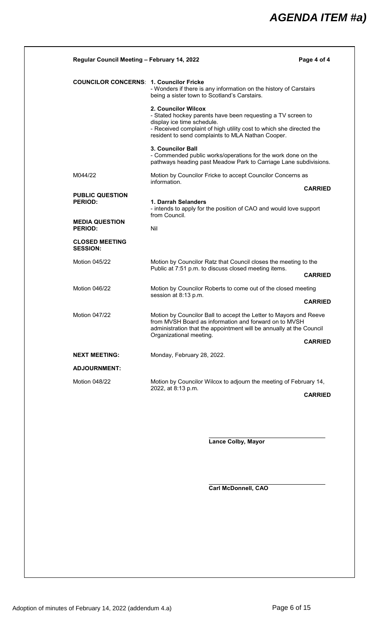| Regular Council Meeting - February 14, 2022               |                                                                                                                                                                                                                                              | Page 4 of 4    |
|-----------------------------------------------------------|----------------------------------------------------------------------------------------------------------------------------------------------------------------------------------------------------------------------------------------------|----------------|
| <b>COUNCILOR CONCERNS: 1. Councilor Fricke</b>            | - Wonders if there is any information on the history of Carstairs<br>being a sister town to Scotland's Carstairs.                                                                                                                            |                |
|                                                           | 2. Councilor Wilcox<br>- Stated hockey parents have been requesting a TV screen to<br>display ice time schedule.<br>- Received complaint of high utility cost to which she directed the<br>resident to send complaints to MLA Nathan Cooper. |                |
|                                                           | <b>3. Councilor Ball</b><br>- Commended public works/operations for the work done on the<br>pathways heading past Meadow Park to Carriage Lane subdivisions.                                                                                 |                |
| M044/22                                                   | Motion by Councilor Fricke to accept Councilor Concerns as<br>information.                                                                                                                                                                   |                |
| <b>PUBLIC QUESTION</b>                                    |                                                                                                                                                                                                                                              | <b>CARRIED</b> |
| <b>PERIOD:</b><br><b>MEDIA QUESTION</b><br><b>PERIOD:</b> | 1. Darrah Selanders<br>- intends to apply for the position of CAO and would love support<br>from Council.                                                                                                                                    |                |
|                                                           | Nil                                                                                                                                                                                                                                          |                |
| <b>CLOSED MEETING</b><br><b>SESSION:</b>                  |                                                                                                                                                                                                                                              |                |
| <b>Motion 045/22</b>                                      | Motion by Councilor Ratz that Council closes the meeting to the<br>Public at 7:51 p.m. to discuss closed meeting items.                                                                                                                      |                |
|                                                           |                                                                                                                                                                                                                                              | <b>CARRIED</b> |
| Motion 046/22                                             | Motion by Councilor Roberts to come out of the closed meeting<br>session at 8:13 p.m.                                                                                                                                                        |                |
|                                                           |                                                                                                                                                                                                                                              | <b>CARRIED</b> |
| <b>Motion 047/22</b>                                      | Motion by Councilor Ball to accept the Letter to Mayors and Reeve<br>from MVSH Board as information and forward on to MVSH<br>administration that the appointment will be annually at the Council<br>Organizational meeting.                 |                |
|                                                           |                                                                                                                                                                                                                                              | <b>CARRIED</b> |
| NEXT MEETING:                                             | Monday, February 28, 2022.                                                                                                                                                                                                                   |                |
| <b>ADJOURNMENT:</b>                                       |                                                                                                                                                                                                                                              |                |
| Motion 048/22                                             | Motion by Councilor Wilcox to adjourn the meeting of February 14,<br>2022, at 8:13 p.m.                                                                                                                                                      |                |
|                                                           |                                                                                                                                                                                                                                              | <b>CARRIED</b> |

**Lance Colby, Mayor**

**Carl McDonnell, CAO**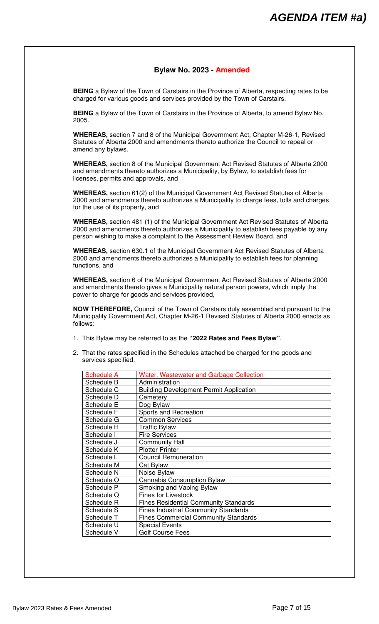### **Bylaw No. 2023 - Amended**

**BEING** a Bylaw of the Town of Carstairs in the Province of Alberta, respecting rates to be charged for various goods and services provided by the Town of Carstairs.

**BEING** a Bylaw of the Town of Carstairs in the Province of Alberta, to amend Bylaw No. 2005.

**WHEREAS,** section 7 and 8 of the Municipal Government Act, Chapter M-26-1, Revised Statutes of Alberta 2000 and amendments thereto authorize the Council to repeal or amend any bylaws.

**WHEREAS,** section 8 of the Municipal Government Act Revised Statutes of Alberta 2000 and amendments thereto authorizes a Municipality, by Bylaw, to establish fees for licenses, permits and approvals, and

**WHEREAS,** section 61(2) of the Municipal Government Act Revised Statutes of Alberta 2000 and amendments thereto authorizes a Municipality to charge fees, tolls and charges for the use of its property, and

**WHEREAS,** section 481 (1) of the Municipal Government Act Revised Statutes of Alberta 2000 and amendments thereto authorizes a Municipality to establish fees payable by any person wishing to make a complaint to the Assessment Review Board, and

**WHEREAS,** section 630.1 of the Municipal Government Act Revised Statutes of Alberta 2000 and amendments thereto authorizes a Municipality to establish fees for planning functions, and

**WHEREAS,** section 6 of the Municipal Government Act Revised Statutes of Alberta 2000 and amendments thereto gives a Municipality natural person powers, which imply the power to charge for goods and services provided,

**NOW THEREFORE,** Council of the Town of Carstairs duly assembled and pursuant to the Municipality Government Act, Chapter M-26-1 Revised Statutes of Alberta 2000 enacts as follows:

- 1. This Bylaw may be referred to as the **"2022 Rates and Fees Bylaw"**.
- 2. That the rates specified in the Schedules attached be charged for the goods and services specified.

| <b>Schedule A</b> | <b>Water, Wastewater and Garbage Collection</b> |
|-------------------|-------------------------------------------------|
| Schedule B        | Administration                                  |
| Schedule C        | <b>Building Development Permit Application</b>  |
| Schedule D        | Cemetery                                        |
| Schedule E        | Dog Bylaw                                       |
| Schedule F        | Sports and Recreation                           |
| Schedule G        | <b>Common Services</b>                          |
| Schedule H        | <b>Traffic Bylaw</b>                            |
| Schedule I        | <b>Fire Services</b>                            |
| Schedule J        | <b>Community Hall</b>                           |
| Schedule K        | <b>Plotter Printer</b>                          |
| Schedule L        | <b>Council Remuneration</b>                     |
| Schedule M        | Cat Bylaw                                       |
| Schedule N        | Noise Bylaw                                     |
| Schedule O        | Cannabis Consumption Bylaw                      |
| Schedule P        | Smoking and Vaping Bylaw                        |
| Schedule Q        | <b>Fines for Livestock</b>                      |
| Schedule R        | <b>Fines Residential Community Standards</b>    |
| Schedule S        | <b>Fines Industrial Community Standards</b>     |
| Schedule T        | <b>Fines Commercial Community Standards</b>     |
| Schedule U        | <b>Special Events</b>                           |
| Schedule V        | <b>Golf Course Fees</b>                         |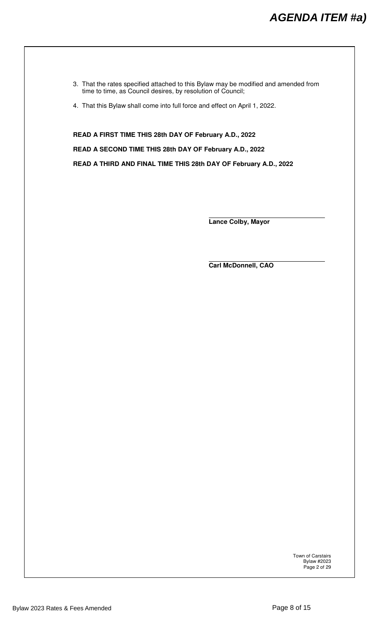- 3. That the rates specified attached to this Bylaw may be modified and amended from time to time, as Council desires, by resolution of Council;
- 4. That this Bylaw shall come into full force and effect on April 1, 2022.

**READ A FIRST TIME THIS 28th DAY OF February A.D., 2022 READ A SECOND TIME THIS 28th DAY OF February A.D., 2022** 

**READ A THIRD AND FINAL TIME THIS 28th DAY OF February A.D., 2022** 

 **Lance Colby, Mayor** 

 **Carl McDonnell, CAO** 

Town of Carstairs Bylaw #2023 Page 2 of 29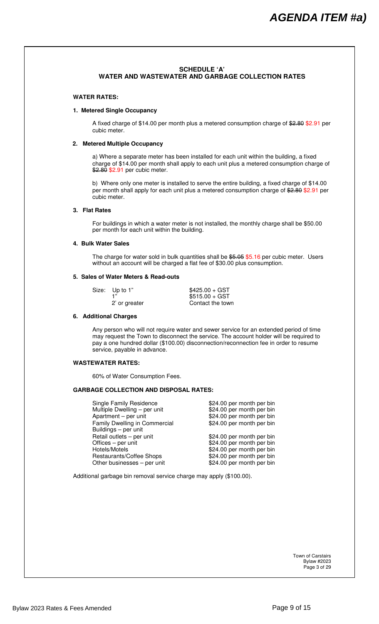#### **SCHEDULE 'A' WATER AND WASTEWATER AND GARBAGE COLLECTION RATES**

#### **WATER RATES:**

#### **1. Metered Single Occupancy**

 A fixed charge of \$14.00 per month plus a metered consumption charge of \$2.80 \$2.91 per cubic meter.

#### **2. Metered Multiple Occupancy**

 a) Where a separate meter has been installed for each unit within the building, a fixed charge of \$14.00 per month shall apply to each unit plus a metered consumption charge of \$2.80 \$2.91 per cubic meter.

 b) Where only one meter is installed to serve the entire building, a fixed charge of \$14.00 per month shall apply for each unit plus a metered consumption charge of \$2.80 \$2.91 per cubic meter.

#### **3. Flat Rates**

 For buildings in which a water meter is not installed, the monthly charge shall be \$50.00 per month for each unit within the building.

#### **4. Bulk Water Sales**

The charge for water sold in bulk quantities shall be \$5.05 \$5.16 per cubic meter. Users without an account will be charged a flat fee of \$30.00 plus consumption.

#### **5. Sales of Water Meters & Read-outs**

| Size: Up to 1" | $$425.00 + GST$  |
|----------------|------------------|
|                | $$515.00 + GST$  |
| 2' or greater  | Contact the town |

#### **6. Additional Charges**

 Any person who will not require water and sewer service for an extended period of time may request the Town to disconnect the service. The account holder will be required to pay a one hundred dollar (\$100.00) disconnection/reconnection fee in order to resume service, payable in advance.

#### **WASTEWATER RATES:**

60% of Water Consumption Fees.

#### **GARBAGE COLLECTION AND DISPOSAL RATES:**

| <b>Single Family Residence</b> | \$24.00 per month per bin |
|--------------------------------|---------------------------|
| Multiple Dwelling - per unit   | \$24.00 per month per bin |
| Apartment - per unit           | \$24.00 per month per bin |
| Family Dwelling in Commercial  | \$24.00 per month per bin |
| Buildings - per unit           |                           |
| Retail outlets - per unit      | \$24.00 per month per bin |
| Offices – per unit             | \$24.00 per month per bin |
| Hotels/Motels                  | \$24.00 per month per bin |
| Restaurants/Coffee Shops       | \$24.00 per month per bin |
| Other businesses - per unit    | \$24.00 per month per bin |
|                                |                           |

Additional garbage bin removal service charge may apply (\$100.00).

Town of Carstairs Bylaw #2023 Page 3 of 29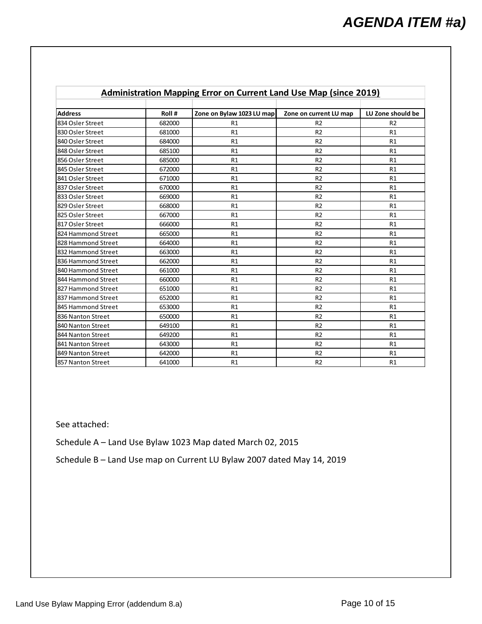| Administration Mapping Error on Current Land Use Map (since 2019) |        |                           |                        |                   |
|-------------------------------------------------------------------|--------|---------------------------|------------------------|-------------------|
|                                                                   |        |                           |                        |                   |
| <b>Address</b>                                                    | Roll#  | Zone on Bylaw 1023 LU map | Zone on current LU map | LU Zone should be |
| 834 Osler Street                                                  | 682000 | R1                        | R <sub>2</sub>         | R <sub>2</sub>    |
| 830 Osler Street                                                  | 681000 | R1                        | R <sub>2</sub>         | R1                |
| 840 Osler Street                                                  | 684000 | R1                        | R <sub>2</sub>         | R1                |
| 848 Osler Street                                                  | 685100 | R1                        | R <sub>2</sub>         | R1                |
| 856 Osler Street                                                  | 685000 | R1                        | R <sub>2</sub>         | R1                |
| 845 Osler Street                                                  | 672000 | R1                        | R <sub>2</sub>         | R1                |
| 841 Osler Street                                                  | 671000 | R1                        | R <sub>2</sub>         | R1                |
| 837 Osler Street                                                  | 670000 | R1                        | R <sub>2</sub>         | R1                |
| 833 Osler Street                                                  | 669000 | R1                        | R <sub>2</sub>         | R1                |
| 829 Osler Street                                                  | 668000 | R1                        | R <sub>2</sub>         | R1                |
| 825 Osler Street                                                  | 667000 | R1                        | R <sub>2</sub>         | R1                |
| 817 Osler Street                                                  | 666000 | R1                        | R <sub>2</sub>         | R1                |
| 824 Hammond Street                                                | 665000 | R1                        | R <sub>2</sub>         | R1                |
| 828 Hammond Street                                                | 664000 | R1                        | R <sub>2</sub>         | R1                |
| 832 Hammond Street                                                | 663000 | R1                        | R <sub>2</sub>         | R1                |
| 836 Hammond Street                                                | 662000 | R1                        | R <sub>2</sub>         | R1                |
| 840 Hammond Street                                                | 661000 | R1                        | R <sub>2</sub>         | R1                |
| 844 Hammond Street                                                | 660000 | R1                        | R <sub>2</sub>         | R1                |
| 827 Hammond Street                                                | 651000 | R1                        | R <sub>2</sub>         | R1                |
| 837 Hammond Street                                                | 652000 | R1                        | R <sub>2</sub>         | R1                |
| 845 Hammond Street                                                | 653000 | R1                        | R <sub>2</sub>         | R1                |
| 836 Nanton Street                                                 | 650000 | R1                        | R <sub>2</sub>         | R1                |
| 840 Nanton Street                                                 | 649100 | R1                        | R <sub>2</sub>         | R1                |
| 844 Nanton Street                                                 | 649200 | R1                        | R <sub>2</sub>         | R1                |
| 841 Nanton Street                                                 | 643000 | R1                        | R <sub>2</sub>         | R1                |
| 849 Nanton Street                                                 | 642000 | R1                        | R <sub>2</sub>         | R1                |
| 857 Nanton Street                                                 | 641000 | R1                        | R <sub>2</sub>         | R1                |

## **Administration Mapping Error on Current Land Use Map (since 2019)**

See attached:

Schedule A – Land Use Bylaw 1023 Map dated March 02, 2015

Schedule B – Land Use map on Current LU Bylaw 2007 dated May 14, 2019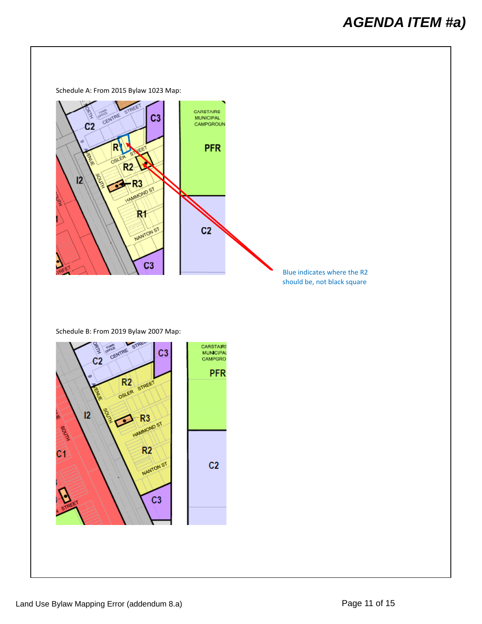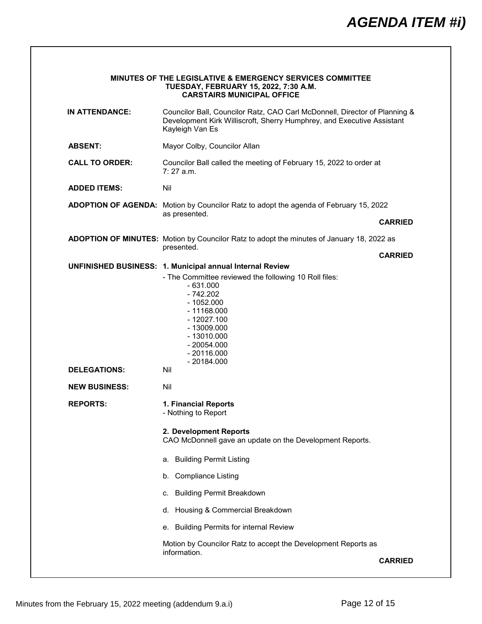|                       | <b>MINUTES OF THE LEGISLATIVE &amp; EMERGENCY SERVICES COMMITTEE</b><br>TUESDAY, FEBRUARY 15, 2022, 7:30 A.M.<br><b>CARSTAIRS MUNICIPAL OFFICE</b>                      |                |
|-----------------------|-------------------------------------------------------------------------------------------------------------------------------------------------------------------------|----------------|
| <b>IN ATTENDANCE:</b> | Councilor Ball, Councilor Ratz, CAO Carl McDonnell, Director of Planning &<br>Development Kirk Williscroft, Sherry Humphrey, and Executive Assistant<br>Kayleigh Van Es |                |
| <b>ABSENT:</b>        | Mayor Colby, Councilor Allan                                                                                                                                            |                |
| <b>CALL TO ORDER:</b> | Councilor Ball called the meeting of February 15, 2022 to order at<br>$7:27$ a.m.                                                                                       |                |
| <b>ADDED ITEMS:</b>   | Nil                                                                                                                                                                     |                |
|                       | ADOPTION OF AGENDA: Motion by Councilor Ratz to adopt the agenda of February 15, 2022                                                                                   |                |
|                       | as presented.                                                                                                                                                           | <b>CARRIED</b> |
|                       | ADOPTION OF MINUTES: Motion by Councilor Ratz to adopt the minutes of January 18, 2022 as                                                                               |                |
|                       | presented.                                                                                                                                                              | <b>CARRIED</b> |
|                       | UNFINISHED BUSINESS: 1. Municipal annual Internal Review<br>- The Committee reviewed the following 10 Roll files:                                                       |                |
| <b>DELEGATIONS:</b>   | $-1052.000$<br>$-11168.000$<br>$-12027.100$<br>$-13009.000$<br>$-13010.000$<br>$-20054.000$<br>$-20116.000$<br>$-20184.000$<br>Nil                                      |                |
| <b>NEW BUSINESS:</b>  | Nil                                                                                                                                                                     |                |
| <b>REPORTS:</b>       | 1. Financial Reports<br>- Nothing to Report                                                                                                                             |                |
|                       | 2. Development Reports<br>CAO McDonnell gave an update on the Development Reports.                                                                                      |                |
|                       | <b>Building Permit Listing</b><br>а.                                                                                                                                    |                |
|                       | <b>Compliance Listing</b><br>b.                                                                                                                                         |                |
|                       | <b>Building Permit Breakdown</b><br>С.                                                                                                                                  |                |
|                       | Housing & Commercial Breakdown<br>d.                                                                                                                                    |                |
|                       |                                                                                                                                                                         |                |
|                       | <b>Building Permits for internal Review</b><br>е.                                                                                                                       |                |
|                       | Motion by Councilor Ratz to accept the Development Reports as<br>information.                                                                                           |                |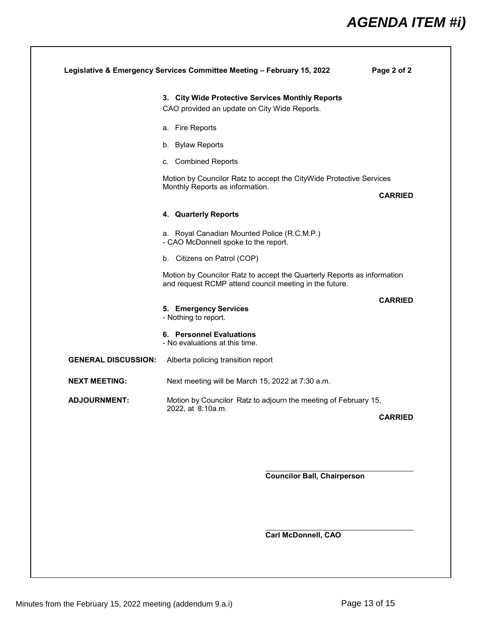# *AGENDA ITEM #i)*

|                            | 3. City Wide Protective Services Monthly Reports                                                                                  |                |
|----------------------------|-----------------------------------------------------------------------------------------------------------------------------------|----------------|
|                            | CAO provided an update on City Wide Reports.                                                                                      |                |
|                            | a. Fire Reports                                                                                                                   |                |
|                            | b. Bylaw Reports                                                                                                                  |                |
|                            | c. Combined Reports                                                                                                               |                |
|                            | Motion by Councilor Ratz to accept the CityWide Protective Services                                                               |                |
|                            | Monthly Reports as information.                                                                                                   | <b>CARRIED</b> |
|                            | 4. Quarterly Reports                                                                                                              |                |
|                            | a. Royal Canadian Mounted Police (R.C.M.P.)<br>- CAO McDonnell spoke to the report.                                               |                |
|                            | b. Citizens on Patrol (COP)                                                                                                       |                |
|                            | Motion by Councilor Ratz to accept the Quarterly Reports as information<br>and request RCMP attend council meeting in the future. |                |
|                            | 5. Emergency Services<br>- Nothing to report.                                                                                     | <b>CARRIED</b> |
|                            | 6. Personnel Evaluations<br>- No evaluations at this time.                                                                        |                |
| <b>GENERAL DISCUSSION:</b> | Alberta policing transition report                                                                                                |                |
| <b>NEXT MEETING:</b>       | Next meeting will be March 15, 2022 at 7:30 a.m.                                                                                  |                |
| <b>ADJOURNMENT:</b>        | Motion by Councilor Ratz to adjourn the meeting of February 15,<br>2022, at 8:10a.m.                                              |                |
|                            |                                                                                                                                   | <b>CARRIED</b> |

**Councilor Ball, Chairperson**

**Carl McDonnell, CAO**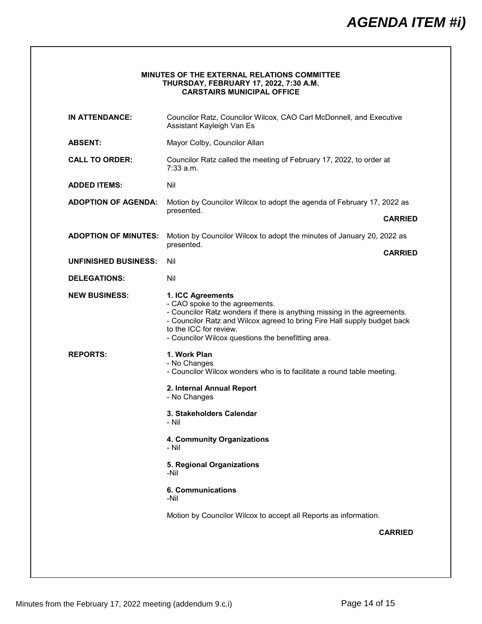## *AGENDA ITEM #i)*

| <b>MINUTES OF THE EXTERNAL RELATIONS COMMITTEE</b> |
|----------------------------------------------------|
| <b>THURSDAY, FEBRUARY 17, 2022, 7:30 A.M.</b>      |
| <b>CARSTAIRS MUNICIPAL OFFICE</b>                  |

| <b>IN ATTENDANCE:</b>       | Councilor Ratz, Councilor Wilcox, CAO Carl McDonnell, and Executive<br>Assistant Kayleigh Van Es                                                                                                                                                                                            |  |
|-----------------------------|---------------------------------------------------------------------------------------------------------------------------------------------------------------------------------------------------------------------------------------------------------------------------------------------|--|
| <b>ABSENT:</b>              | Mayor Colby, Councilor Allan                                                                                                                                                                                                                                                                |  |
| <b>CALL TO ORDER:</b>       | Councilor Ratz called the meeting of February 17, 2022, to order at<br>7:33 a.m.                                                                                                                                                                                                            |  |
| <b>ADDED ITEMS:</b>         | Nil                                                                                                                                                                                                                                                                                         |  |
| <b>ADOPTION OF AGENDA:</b>  | Motion by Councilor Wilcox to adopt the agenda of February 17, 2022 as                                                                                                                                                                                                                      |  |
|                             | presented.<br><b>CARRIED</b>                                                                                                                                                                                                                                                                |  |
| <b>ADOPTION OF MINUTES:</b> | Motion by Councilor Wilcox to adopt the minutes of January 20, 2022 as                                                                                                                                                                                                                      |  |
|                             | presented.<br><b>CARRIED</b>                                                                                                                                                                                                                                                                |  |
| <b>UNFINISHED BUSINESS:</b> | Nil                                                                                                                                                                                                                                                                                         |  |
| <b>DELEGATIONS:</b>         | Nil                                                                                                                                                                                                                                                                                         |  |
| <b>NEW BUSINESS:</b>        | 1. ICC Agreements<br>- CAO spoke to the agreements.<br>- Councilor Ratz wonders if there is anything missing in the agreements.<br>- Councilor Ratz and Wilcox agreed to bring Fire Hall supply budget back<br>to the ICC for review.<br>- Councilor Wilcox questions the benefitting area. |  |
| <b>REPORTS:</b>             | 1. Work Plan<br>- No Changes<br>- Councilor Wilcox wonders who is to facilitate a round table meeting.                                                                                                                                                                                      |  |
|                             | 2. Internal Annual Report<br>- No Changes                                                                                                                                                                                                                                                   |  |
|                             | 3. Stakeholders Calendar<br>- Nil                                                                                                                                                                                                                                                           |  |
|                             | 4. Community Organizations<br>- Nil                                                                                                                                                                                                                                                         |  |
|                             | 5. Regional Organizations<br>-Nil                                                                                                                                                                                                                                                           |  |
|                             | <b>6. Communications</b><br>-Nil                                                                                                                                                                                                                                                            |  |
|                             | Motion by Councilor Wilcox to accept all Reports as information.                                                                                                                                                                                                                            |  |
|                             | <b>CARRIED</b>                                                                                                                                                                                                                                                                              |  |